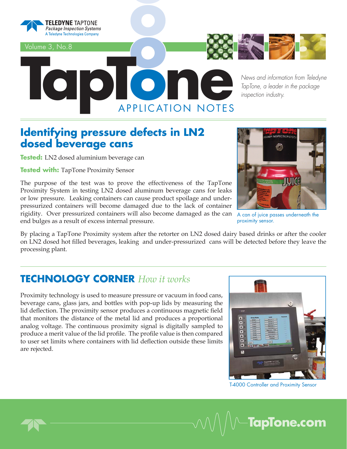

Volume 3, No.8



**one of the** *News and information from Teledyne*<br> *TapTone, a leader in the package*<br> **one of the** *inspection industry***.** *TapTone, a leader in the package inspection industry.*

### **Identifying pressure defects in LN2 dosed beverage cans**

**Tested:** LN2 dosed aluminium beverage can

**Tested with: TapTone Proximity Sensor** 

The purpose of the test was to prove the effectiveness of the TapTone Proximity System in testing LN2 dosed aluminum beverage cans for leaks or low pressure. Leaking containers can cause product spoilage and underpressurized containers will become damaged due to the lack of container rigidity. Over pressurized containers will also become damaged as the can A can of juice passes underneath the end bulges as a result of excess internal pressure.

By placing a TapTone Proximity system after the retorter on LN2 dosed dairy based drinks or after the cooler on LN2 dosed hot filled beverages, leaking and under-pressurized cans will be detected before they leave the processing plant.

### **TECHNOLOGY CORNER** *How it works*

Proximity technology is used to measure pressure or vacuum in food cans, beverage cans, glass jars, and bottles with pop-up lids by measuring the lid deflection. The proximity sensor produces a continuous magnetic field that monitors the distance of the metal lid and produces a proportional analog voltage. The continuous proximity signal is digitally sampled to produce a merit value of the lid profile. The profile value is then compared to user set limits where containers with lid deflection outside these limits are rejected.



proximity sensor.

T-4000 Controller and Proximity Sensor

**TapTone.com**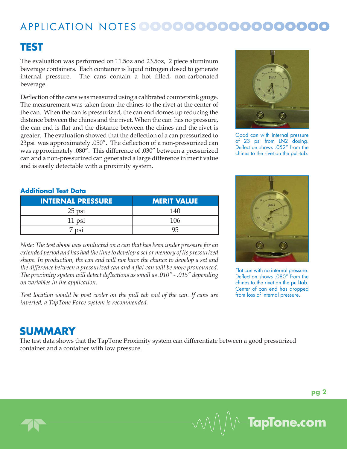# APPLICATION NOTES 0000000000000000000

### **TEST**

The evaluation was performed on 11.5oz and 23.5oz, 2 piece aluminum beverage containers. Each container is liquid nitrogen dosed to generate internal pressure. The cans contain a hot filled, non-carbonated beverage.

Deflection of the cans was measured using a calibrated countersink gauge. The measurement was taken from the chines to the rivet at the center of the can. When the can is pressurized, the can end domes up reducing the distance between the chines and the rivet. When the can has no pressure, the can end is flat and the distance between the chines and the rivet is greater. The evaluation showed that the deflection of a can pressurized to 23psi was approximately .050". The deflection of a non-pressurized can was approximately .080". This difference of .030" between a pressurized can and a non-pressurized can generated a large difference in merit value and is easily detectable with a proximity system.



Good can with internal pressure of 23 psi from LN2 dosing. Deflection shows .052" from the chines to the rivet on the pull-tab.

#### **Additional Test Data**

| <b>INTERNAL PRESSURE</b> | <b>MERIT VALUE</b> |
|--------------------------|--------------------|
| $25$ psi                 | 140                |
| 11 psi                   | -106               |
| 7 psi                    | 95                 |

*Note: The test above was conducted on a can that has been under pressure for an extended period and has had the time to develop a set or memory of its pressurized shape. In production, the can end will not have the chance to develop a set and*  the difference between a pressurized can and a flat can will be more pronounced. *The proximity system will detect defl ections as small as .010" - .015" depending on variables in the application.*

*Test location would be post cooler on the pull tab end of the can. If cans are inverted, a TapTone Force system is recommended.*



Flat can with no internal pressure. Deflection shows .080" from the chines to the rivet on the pull-tab. Center of can end has dropped from loss of internal pressure.

### **SUMMARY**

The test data shows that the TapTone Proximity system can differentiate between a good pressurized container and a container with low pressure.

**TapTone.com**